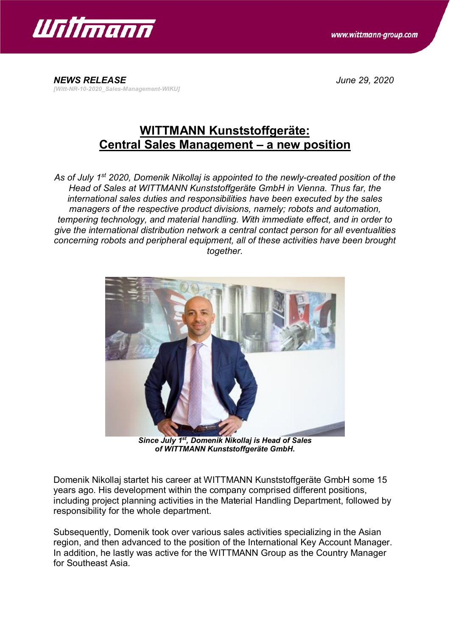



*NEWS RELEASE June 29, 2020 [Witt-NR-10-2020\_Sales-Management-WIKU]*

## **WITTMANN Kunststoffgeräte: Central Sales Management – a new position**

*As of July 1st 2020, Domenik Nikollaj is appointed to the newly-created position of the Head of Sales at WITTMANN Kunststoffgeräte GmbH in Vienna. Thus far, the international sales duties and responsibilities have been executed by the sales managers of the respective product divisions, namely; robots and automation, tempering technology, and material handling. With immediate effect, and in order to give the international distribution network a central contact person for all eventualities concerning robots and peripheral equipment, all of these activities have been brought together.*



*Since July 1st, Domenik Nikollaj is Head of Sales of WITTMANN Kunststoffgeräte GmbH.*

Domenik Nikollaj startet his career at WITTMANN Kunststoffgeräte GmbH some 15 years ago. His development within the company comprised different positions, including project planning activities in the Material Handling Department, followed by responsibility for the whole department.

Subsequently, Domenik took over various sales activities specializing in the Asian region, and then advanced to the position of the International Key Account Manager. In addition, he lastly was active for the WITTMANN Group as the Country Manager for Southeast Asia.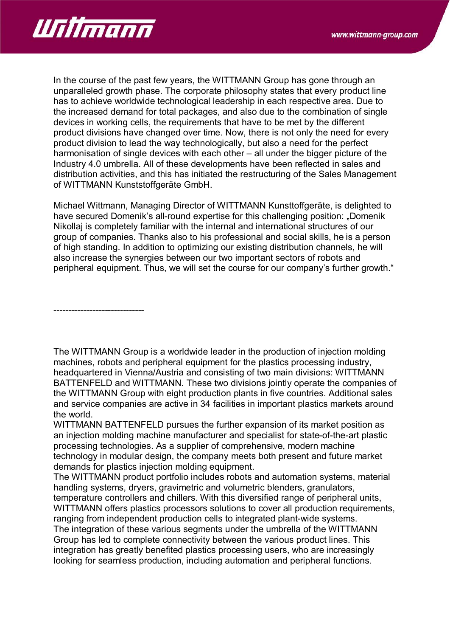

In the course of the past few years, the WITTMANN Group has gone through an unparalleled growth phase. The corporate philosophy states that every product line has to achieve worldwide technological leadership in each respective area. Due to the increased demand for total packages, and also due to the combination of single devices in working cells, the requirements that have to be met by the different product divisions have changed over time. Now, there is not only the need for every product division to lead the way technologically, but also a need for the perfect harmonisation of single devices with each other – all under the bigger picture of the Industry 4.0 umbrella. All of these developments have been reflected in sales and distribution activities, and this has initiated the restructuring of the Sales Management of WITTMANN Kunststoffgeräte GmbH.

Michael Wittmann, Managing Director of WITTMANN Kunsttoffgeräte, is delighted to have secured Domenik's all-round expertise for this challenging position: "Domenik Nikollaj is completely familiar with the internal and international structures of our group of companies. Thanks also to his professional and social skills, he is a person of high standing. In addition to optimizing our existing distribution channels, he will also increase the synergies between our two important sectors of robots and peripheral equipment. Thus, we will set the course for our company's further growth."

------------------------------

The WITTMANN Group is a worldwide leader in the production of injection molding machines, robots and peripheral equipment for the plastics processing industry, headquartered in Vienna/Austria and consisting of two main divisions: WITTMANN BATTENFELD and WITTMANN. These two divisions jointly operate the companies of the WITTMANN Group with eight production plants in five countries. Additional sales and service companies are active in 34 facilities in important plastics markets around the world.

WITTMANN BATTENFELD pursues the further expansion of its market position as an injection molding machine manufacturer and specialist for state-of-the-art plastic processing technologies. As a supplier of comprehensive, modern machine technology in modular design, the company meets both present and future market demands for plastics injection molding equipment.

The WITTMANN product portfolio includes robots and automation systems, material handling systems, dryers, gravimetric and volumetric blenders, granulators, temperature controllers and chillers. With this diversified range of peripheral units, WITTMANN offers plastics processors solutions to cover all production requirements, ranging from independent production cells to integrated plant-wide systems. The integration of these various segments under the umbrella of the WITTMANN Group has led to complete connectivity between the various product lines. This integration has greatly benefited plastics processing users, who are increasingly looking for seamless production, including automation and peripheral functions.